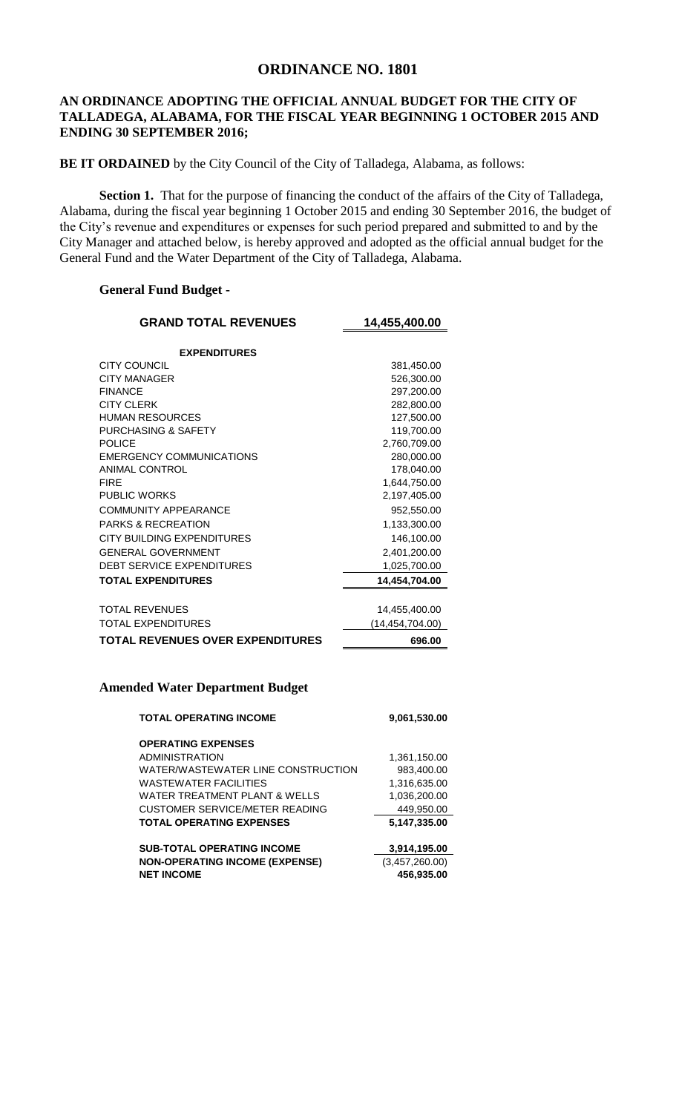## **ORDINANCE NO. 1801**

## **AN ORDINANCE ADOPTING THE OFFICIAL ANNUAL BUDGET FOR THE CITY OF TALLADEGA, ALABAMA, FOR THE FISCAL YEAR BEGINNING 1 OCTOBER 2015 AND ENDING 30 SEPTEMBER 2016;**

**BE IT ORDAINED** by the City Council of the City of Talladega, Alabama, as follows:

**Section 1.** That for the purpose of financing the conduct of the affairs of the City of Talladega, Alabama, during the fiscal year beginning 1 October 2015 and ending 30 September 2016, the budget of the City's revenue and expenditures or expenses for such period prepared and submitted to and by the City Manager and attached below, is hereby approved and adopted as the official annual budget for the General Fund and the Water Department of the City of Talladega, Alabama.

## **General Fund Budget -**

| <b>GRAND TOTAL REVENUES</b>             | 14,455,400.00     |
|-----------------------------------------|-------------------|
| <b>EXPENDITURES</b>                     |                   |
| <b>CITY COUNCIL</b>                     | 381,450.00        |
| <b>CITY MANAGER</b>                     | 526,300.00        |
| <b>FINANCE</b>                          | 297,200.00        |
| <b>CITY CLERK</b>                       | 282,800.00        |
| <b>HUMAN RESOURCES</b>                  | 127,500.00        |
| <b>PURCHASING &amp; SAFETY</b>          | 119,700.00        |
| <b>POLICE</b>                           | 2,760,709.00      |
| <b>EMERGENCY COMMUNICATIONS</b>         | 280,000.00        |
| ANIMAL CONTROL                          | 178,040.00        |
| <b>FIRF</b>                             | 1,644,750.00      |
| <b>PUBLIC WORKS</b>                     | 2,197,405.00      |
| COMMUNITY APPEARANCE                    | 952,550.00        |
| <b>PARKS &amp; RECREATION</b>           | 1,133,300.00      |
| CITY BUILDING EXPENDITURES              | 146,100.00        |
| <b>GENERAL GOVERNMENT</b>               | 2,401,200.00      |
| DEBT SERVICE EXPENDITURES               | 1,025,700.00      |
| <b>TOTAL EXPENDITURES</b>               | 14,454,704.00     |
|                                         |                   |
| <b>TOTAL REVENUES</b>                   | 14,455,400.00     |
| TOTAL EXPENDITURES                      | (14, 454, 704.00) |
| <b>TOTAL REVENUES OVER EXPENDITURES</b> | 696.00            |

## **Amended Water Department Budget**

| <b>TOTAL OPERATING INCOME</b>         | 9,061,530.00   |
|---------------------------------------|----------------|
| <b>OPERATING EXPENSES</b>             |                |
| <b>ADMINISTRATION</b>                 | 1,361,150.00   |
| WATER/WASTEWATER LINE CONSTRUCTION    | 983,400.00     |
| WASTEWATER FACILITIES                 | 1.316.635.00   |
| WATER TREATMENT PLANT & WELLS         | 1,036,200.00   |
| CUSTOMER SERVICE/METER READING        | 449.950.00     |
| <b>TOTAL OPERATING EXPENSES</b>       | 5,147,335.00   |
| <b>SUB-TOTAL OPERATING INCOME</b>     | 3,914,195.00   |
| <b>NON-OPERATING INCOME (EXPENSE)</b> | (3,457,260.00) |
| <b>NET INCOME</b>                     | 456.935.00     |